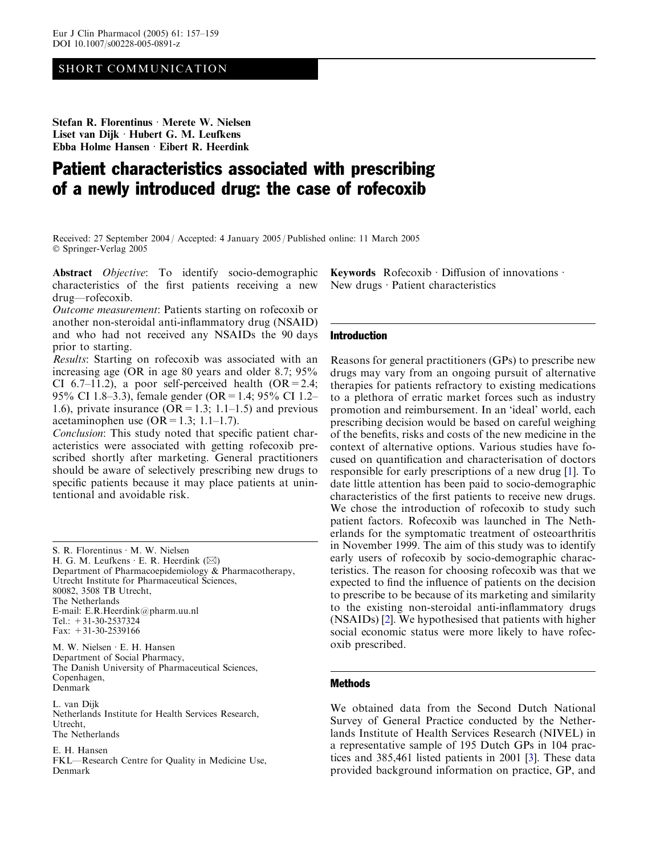# SHORT COMMUNICATION

Stefan R. Florentinus · Merete W. Nielsen Liset van Dijk · Hubert G. M. Leufkens Ebba Holme Hansen  $\cdot$  Eibert R. Heerdink

# Patient characteristics associated with prescribing of a newly introduced drug: the case of rofecoxib

Received: 27 September 2004 / Accepted: 4 January 2005 / Published online: 11 March 2005 Springer-Verlag 2005

Abstract *Objective*: To identify socio-demographic characteristics of the first patients receiving a new drug—rofecoxib.

Outcome measurement: Patients starting on rofecoxib or another non-steroidal anti-inflammatory drug (NSAID) and who had not received any NSAIDs the 90 days prior to starting.

Results: Starting on rofecoxib was associated with an increasing age (OR in age 80 years and older 8.7; 95% CI 6.7–11.2), a poor self-perceived health  $(OR = 2.4;$ 95% CI 1.8–3.3), female gender (OR=1.4; 95% CI 1.2– 1.6), private insurance  $(OR = 1.3; 1.1-1.5)$  and previous acetaminophen use  $(OR = 1.3; 1.1-1.7)$ .

Conclusion: This study noted that specific patient characteristics were associated with getting rofecoxib prescribed shortly after marketing. General practitioners should be aware of selectively prescribing new drugs to specific patients because it may place patients at unintentional and avoidable risk.

S. R. Florentinus · M. W. Nielsen

H. G. M. Leufkens  $\cdot$  E. R. Heerdink ( $\boxtimes$ )

Department of Pharmacoepidemiology & Pharmacotherapy, Utrecht Institute for Pharmaceutical Sciences, 80082, 3508 TB Utrecht, The Netherlands E-mail: E.R.Heerdink@pharm.uu.nl Tel.: +31-30-2537324 Fax:  $+31-30-2539166$ 

M. W. Nielsen · E. H. Hansen Department of Social Pharmacy, The Danish University of Pharmaceutical Sciences, Copenhagen, Denmark

L. van Dijk Netherlands Institute for Health Services Research, Utrecht, The Netherlands

E. H. Hansen FKL—Research Centre for Quality in Medicine Use, Denmark

Keywords Rofecoxib Diffusion of innovations  $\cdot$ New drugs  $\cdot$  Patient characteristics

#### Introduction

Reasons for general practitioners (GPs) to prescribe new drugs may vary from an ongoing pursuit of alternative therapies for patients refractory to existing medications to a plethora of erratic market forces such as industry promotion and reimbursement. In an 'ideal' world, each prescribing decision would be based on careful weighing of the benefits, risks and costs of the new medicine in the context of alternative options. Various studies have focused on quantification and characterisation of doctors responsible for early prescriptions of a new drug [\[1](#page-2-0)]. To date little attention has been paid to socio-demographic characteristics of the first patients to receive new drugs. We chose the introduction of rofecoxib to study such patient factors. Rofecoxib was launched in The Netherlands for the symptomatic treatment of osteoarthritis in November 1999. The aim of this study was to identify early users of rofecoxib by socio-demographic characteristics. The reason for choosing rofecoxib was that we expected to find the influence of patients on the decision to prescribe to be because of its marketing and similarity to the existing non-steroidal anti-inflammatory drugs (NSAIDs) [\[2](#page-2-0)]. We hypothesised that patients with higher social economic status were more likely to have rofecoxib prescribed.

## Methods

We obtained data from the Second Dutch National Survey of General Practice conducted by the Netherlands Institute of Health Services Research (NIVEL) in a representative sample of 195 Dutch GPs in 104 practices and 385,461 listed patients in 2001 [\[3](#page-2-0)]. These data provided background information on practice, GP, and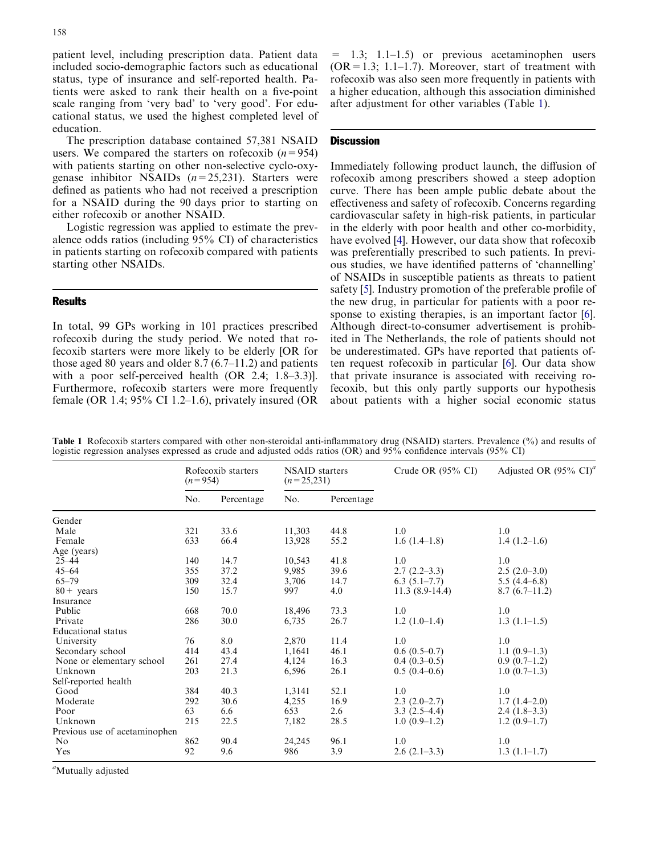patient level, including prescription data. Patient data included socio-demographic factors such as educational status, type of insurance and self-reported health. Patients were asked to rank their health on a five-point scale ranging from 'very bad' to 'very good'. For educational status, we used the highest completed level of education.

The prescription database contained 57,381 NSAID users. We compared the starters on rofecoxib  $(n=954)$ with patients starting on other non-selective cyclo-oxygenase inhibitor NSAIDs  $(n=25,231)$ . Starters were defined as patients who had not received a prescription for a NSAID during the 90 days prior to starting on either rofecoxib or another NSAID.

Logistic regression was applied to estimate the prevalence odds ratios (including 95% CI) of characteristics in patients starting on rofecoxib compared with patients starting other NSAIDs.

## **Results**

In total, 99 GPs working in 101 practices prescribed rofecoxib during the study period. We noted that rofecoxib starters were more likely to be elderly [OR for those aged 80 years and older 8.7 (6.7–11.2) and patients with a poor self-perceived health (OR 2.4; 1.8–3.3)]. Furthermore, rofecoxib starters were more frequently female (OR 1.4;  $95\%$  CI 1.2–1.6), privately insured (OR

 $=$  1.3; 1.1–1.5) or previous acetaminophen users  $(OR = 1.3; 1.1-1.7)$ . Moreover, start of treatment with rofecoxib was also seen more frequently in patients with a higher education, although this association diminished after adjustment for other variables (Table 1).

## **Discussion**

Immediately following product launch, the diffusion of rofecoxib among prescribers showed a steep adoption curve. There has been ample public debate about the effectiveness and safety of rofecoxib. Concerns regarding cardiovascular safety in high-risk patients, in particular in the elderly with poor health and other co-morbidity, have evolved [\[4](#page-2-0)]. However, our data show that rofecoxib was preferentially prescribed to such patients. In previous studies, we have identified patterns of 'channelling' of NSAIDs in susceptible patients as threats to patient safety [[5\]](#page-2-0). Industry promotion of the preferable profile of the new drug, in particular for patients with a poor re-sponse to existing therapies, is an important factor [[6\]](#page-2-0). Although direct-to-consumer advertisement is prohibited in The Netherlands, the role of patients should not be underestimated. GPs have reported that patients often request rofecoxib in particular [\[6](#page-2-0)]. Our data show that private insurance is associated with receiving rofecoxib, but this only partly supports our hypothesis about patients with a higher social economic status

|                               | Rofecoxib starters<br>$(n=954)$ |            | <b>NSAID</b> starters<br>$(n=25,231)$ |            | Crude OR $(95\% \text{ CI})$ | Adjusted OR $(95\% \text{ CI})^4$ |
|-------------------------------|---------------------------------|------------|---------------------------------------|------------|------------------------------|-----------------------------------|
|                               | No.                             | Percentage | No.                                   | Percentage |                              |                                   |
| Gender                        |                                 |            |                                       |            |                              |                                   |
| Male                          | 321                             | 33.6       | 11,303                                | 44.8       | 1.0                          | 1.0                               |
| Female                        | 633                             | 66.4       | 13,928                                | 55.2       | $1.6(1.4-1.8)$               | $1.4(1.2-1.6)$                    |
| Age (years)                   |                                 |            |                                       |            |                              |                                   |
| $25 - 44$                     | 140                             | 14.7       | 10,543                                | 41.8       | 1.0                          | 1.0                               |
| $45 - 64$                     | 355                             | 37.2       | 9,985                                 | 39.6       | $2.7(2.2-3.3)$               | $2.5(2.0-3.0)$                    |
| $65 - 79$                     | 309                             | 32.4       | 3,706                                 | 14.7       | $6.3(5.1-7.7)$               | $5.5(4.4-6.8)$                    |
| $80 + \text{years}$           | 150                             | 15.7       | 997                                   | 4.0        | $11.3(8.9-14.4)$             | $8.7(6.7-11.2)$                   |
| Insurance                     |                                 |            |                                       |            |                              |                                   |
| Public                        | 668                             | 70.0       | 18,496                                | 73.3       | 1.0                          | 1.0                               |
| Private                       | 286                             | 30.0       | 6,735                                 | 26.7       | $1.2(1.0-1.4)$               | $1.3(1.1-1.5)$                    |
| <b>Educational</b> status     |                                 |            |                                       |            |                              |                                   |
| University                    | 76                              | 8.0        | 2,870                                 | 11.4       | 1.0                          | 1.0                               |
| Secondary school              | 414                             | 43.4       | 1,1641                                | 46.1       | $0.6(0.5-0.7)$               | $1.1(0.9-1.3)$                    |
| None or elementary school     | 261                             | 27.4       | 4,124                                 | 16.3       | $0.4(0.3-0.5)$               | $0.9(0.7-1.2)$                    |
| Unknown                       | 203                             | 21.3       | 6,596                                 | 26.1       | $0.5(0.4-0.6)$               | $1.0(0.7-1.3)$                    |
| Self-reported health          |                                 |            |                                       |            |                              |                                   |
| Good                          | 384                             | 40.3       | 1,3141                                | 52.1       | 1.0                          | 1.0                               |
| Moderate                      | 292                             | 30.6       | 4,255                                 | 16.9       | $2.3(2.0-2.7)$               | $1.7(1.4-2.0)$                    |
| Poor                          | 63                              | 6.6        | 653                                   | 2.6        | $3.3(2.5-4.4)$               | $2.4(1.8-3.3)$                    |
| Unknown                       | 215                             | 22.5       | 7,182                                 | 28.5       | $1.0(0.9-1.2)$               | $1.2(0.9-1.7)$                    |
| Previous use of acetaminophen |                                 |            |                                       |            |                              |                                   |
| N <sub>0</sub>                | 862                             | 90.4       | 24,245                                | 96.1       | 1.0                          | 1.0                               |
| Yes                           | 92                              | 9.6        | 986                                   | 3.9        | $2.6(2.1-3.3)$               | $1.3(1.1-1.7)$                    |

Table 1 Rofecoxib starters compared with other non-steroidal anti-inflammatory drug (NSAID) starters. Prevalence (%) and results of logistic regression analyses expressed as crude and adjusted odds ratios (OR) and 95% confidence intervals (95% CI)

<sup>a</sup>Mutually adjusted